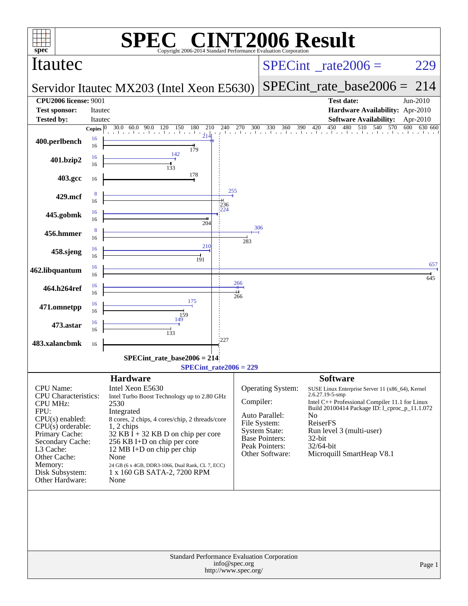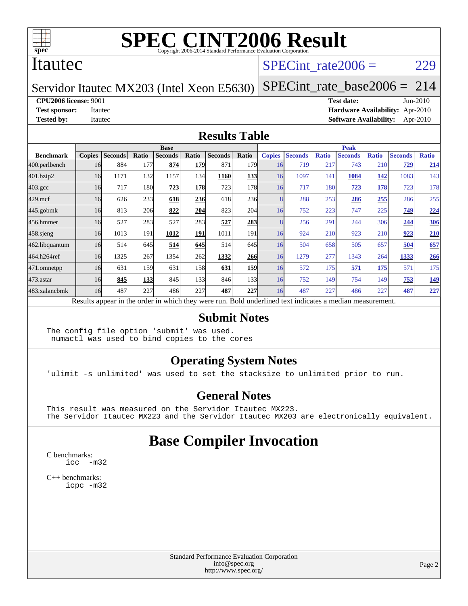

#### Itautec

#### SPECint rate $2006 = 229$

#### Servidor Itautec MX203 (Intel Xeon E5630)

[SPECint\\_rate\\_base2006 =](http://www.spec.org/auto/cpu2006/Docs/result-fields.html#SPECintratebase2006) 214

#### **[CPU2006 license:](http://www.spec.org/auto/cpu2006/Docs/result-fields.html#CPU2006license)** 9001 **[Test date:](http://www.spec.org/auto/cpu2006/Docs/result-fields.html#Testdate)** Jun-2010

**[Test sponsor:](http://www.spec.org/auto/cpu2006/Docs/result-fields.html#Testsponsor)** Itautec **[Hardware Availability:](http://www.spec.org/auto/cpu2006/Docs/result-fields.html#HardwareAvailability)** Apr-2010 **[Tested by:](http://www.spec.org/auto/cpu2006/Docs/result-fields.html#Testedby)** Itautec **[Software Availability:](http://www.spec.org/auto/cpu2006/Docs/result-fields.html#SoftwareAvailability)** Apr-2010

#### **[Results Table](http://www.spec.org/auto/cpu2006/Docs/result-fields.html#ResultsTable)**

|                  | <b>Base</b>   |                |            |                |       |                                                                                                          |                  | <b>Peak</b>   |                |              |                |              |                |              |
|------------------|---------------|----------------|------------|----------------|-------|----------------------------------------------------------------------------------------------------------|------------------|---------------|----------------|--------------|----------------|--------------|----------------|--------------|
| <b>Benchmark</b> | <b>Copies</b> | <b>Seconds</b> | Ratio      | <b>Seconds</b> | Ratio | <b>Seconds</b>                                                                                           | Ratio            | <b>Copies</b> | <b>Seconds</b> | <b>Ratio</b> | <b>Seconds</b> | <b>Ratio</b> | <b>Seconds</b> | <b>Ratio</b> |
| 400.perlbench    | 16            | 884            | 177        | 874            | 179   | 871                                                                                                      | 179I             | 16            | 719            | 217          | 743            | 210          | 729            | 214          |
| 401.bzip2        | 16            | 1171           | 132        | 1157           | 134   | 1160                                                                                                     | 133              | 16            | 1097           | 141          | 1084           | 142          | 1083           | 143          |
| $403.\text{gcc}$ | 16            | 717            | <b>180</b> | 723            | 178   | 723                                                                                                      | 178              | 16            | 717            | 180          | 723            | <u>178</u>   | 723            | 178          |
| $429$ .mcf       | 16            | 626            | 233        | 618            | 236   | 618                                                                                                      | <b>236</b>       |               | 288            | 253          | 286            | 255          | 286            | 255          |
| $445$ .gobm $k$  | 16            | 813            | 206        | 822            | 204   | 823                                                                                                      | 204              | 16            | 752            | 223          | 747            | 225          | 749            | 224          |
| 456.hmmer        | 16            | 527            | 283        | 527            | 283   | 527                                                                                                      | 283              |               | 256            | 291          | 244            | 306          | 244            | 306          |
| $458$ .sjeng     | 16            | 1013           | 191        | 1012           | 191   | 1011                                                                                                     | 191              | 16            | 924            | 210          | 923            | 210          | 923            | 210          |
| 462.libquantum   | 16            | 514            | 645        | 514            | 645   | 514                                                                                                      | 645              | 16            | 504            | 658          | 505            | 657          | 504            | 657          |
| 464.h264ref      | 16            | 1325           | 267        | 1354           | 262   | 1332                                                                                                     | 266              | 16            | 1279           | 277          | 1343           | 264          | 1333           | 266          |
| 471.omnetpp      | 16            | 631            | 159        | 631            | 158   | 631                                                                                                      | 159              | 16            | 572            | 175          | 571            | 175          | 571            | 175          |
| 473.astar        | 16            | 845            | 133        | 845            | 133   | 846                                                                                                      | 133 <sup>I</sup> | 16            | 752            | 149          | 754            | 149          | 753            | <u>149</u>   |
| 483.xalancbmk    | 16            | 487            | 227        | 486            | 227   | 487                                                                                                      | 227              | 16            | 487            | 227          | 486            | 227          | 487            | 227          |
|                  |               |                |            |                |       | Results appear in the order in which they were run. Bold underlined text indicates a median measurement. |                  |               |                |              |                |              |                |              |

#### **[Submit Notes](http://www.spec.org/auto/cpu2006/Docs/result-fields.html#SubmitNotes)**

The config file option 'submit' was used. numactl was used to bind copies to the cores

#### **[Operating System Notes](http://www.spec.org/auto/cpu2006/Docs/result-fields.html#OperatingSystemNotes)**

'ulimit -s unlimited' was used to set the stacksize to unlimited prior to run.

#### **[General Notes](http://www.spec.org/auto/cpu2006/Docs/result-fields.html#GeneralNotes)**

This result was measured on the Servidor Itautec MX223. The Servidor Itautec MX223 and the Servidor Itautec MX203 are electronically equivalent.

## **[Base Compiler Invocation](http://www.spec.org/auto/cpu2006/Docs/result-fields.html#BaseCompilerInvocation)**

[C benchmarks](http://www.spec.org/auto/cpu2006/Docs/result-fields.html#Cbenchmarks): [icc -m32](http://www.spec.org/cpu2006/results/res2010q3/cpu2006-20100629-12034.flags.html#user_CCbase_intel_icc_32bit_5ff4a39e364c98233615fdd38438c6f2)

[C++ benchmarks:](http://www.spec.org/auto/cpu2006/Docs/result-fields.html#CXXbenchmarks) [icpc -m32](http://www.spec.org/cpu2006/results/res2010q3/cpu2006-20100629-12034.flags.html#user_CXXbase_intel_icpc_32bit_4e5a5ef1a53fd332b3c49e69c3330699)

> Standard Performance Evaluation Corporation [info@spec.org](mailto:info@spec.org) <http://www.spec.org/>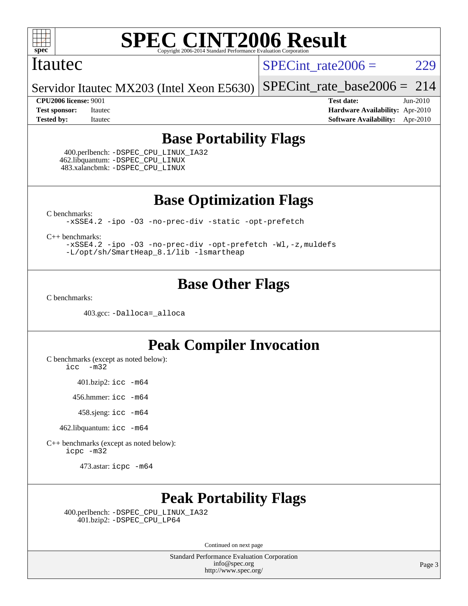

#### Itautec

SPECint rate $2006 = 229$ 

Servidor Itautec MX203 (Intel Xeon E5630) [SPECint\\_rate\\_base2006 =](http://www.spec.org/auto/cpu2006/Docs/result-fields.html#SPECintratebase2006) 214

**[CPU2006 license:](http://www.spec.org/auto/cpu2006/Docs/result-fields.html#CPU2006license)** 9001 **[Test date:](http://www.spec.org/auto/cpu2006/Docs/result-fields.html#Testdate)** Jun-2010 **[Test sponsor:](http://www.spec.org/auto/cpu2006/Docs/result-fields.html#Testsponsor)** Itautec **[Hardware Availability:](http://www.spec.org/auto/cpu2006/Docs/result-fields.html#HardwareAvailability)** Apr-2010 **[Tested by:](http://www.spec.org/auto/cpu2006/Docs/result-fields.html#Testedby)** Itautec **[Software Availability:](http://www.spec.org/auto/cpu2006/Docs/result-fields.html#SoftwareAvailability)** Apr-2010

### **[Base Portability Flags](http://www.spec.org/auto/cpu2006/Docs/result-fields.html#BasePortabilityFlags)**

 400.perlbench: [-DSPEC\\_CPU\\_LINUX\\_IA32](http://www.spec.org/cpu2006/results/res2010q3/cpu2006-20100629-12034.flags.html#b400.perlbench_baseCPORTABILITY_DSPEC_CPU_LINUX_IA32) 462.libquantum: [-DSPEC\\_CPU\\_LINUX](http://www.spec.org/cpu2006/results/res2010q3/cpu2006-20100629-12034.flags.html#b462.libquantum_baseCPORTABILITY_DSPEC_CPU_LINUX) 483.xalancbmk: [-DSPEC\\_CPU\\_LINUX](http://www.spec.org/cpu2006/results/res2010q3/cpu2006-20100629-12034.flags.html#b483.xalancbmk_baseCXXPORTABILITY_DSPEC_CPU_LINUX)

**[Base Optimization Flags](http://www.spec.org/auto/cpu2006/Docs/result-fields.html#BaseOptimizationFlags)**

[C benchmarks](http://www.spec.org/auto/cpu2006/Docs/result-fields.html#Cbenchmarks):

[-xSSE4.2](http://www.spec.org/cpu2006/results/res2010q3/cpu2006-20100629-12034.flags.html#user_CCbase_f-xSSE42_f91528193cf0b216347adb8b939d4107) [-ipo](http://www.spec.org/cpu2006/results/res2010q3/cpu2006-20100629-12034.flags.html#user_CCbase_f-ipo) [-O3](http://www.spec.org/cpu2006/results/res2010q3/cpu2006-20100629-12034.flags.html#user_CCbase_f-O3) [-no-prec-div](http://www.spec.org/cpu2006/results/res2010q3/cpu2006-20100629-12034.flags.html#user_CCbase_f-no-prec-div) [-static](http://www.spec.org/cpu2006/results/res2010q3/cpu2006-20100629-12034.flags.html#user_CCbase_f-static) [-opt-prefetch](http://www.spec.org/cpu2006/results/res2010q3/cpu2006-20100629-12034.flags.html#user_CCbase_f-opt-prefetch)

[C++ benchmarks:](http://www.spec.org/auto/cpu2006/Docs/result-fields.html#CXXbenchmarks)

[-xSSE4.2](http://www.spec.org/cpu2006/results/res2010q3/cpu2006-20100629-12034.flags.html#user_CXXbase_f-xSSE42_f91528193cf0b216347adb8b939d4107) [-ipo](http://www.spec.org/cpu2006/results/res2010q3/cpu2006-20100629-12034.flags.html#user_CXXbase_f-ipo) [-O3](http://www.spec.org/cpu2006/results/res2010q3/cpu2006-20100629-12034.flags.html#user_CXXbase_f-O3) [-no-prec-div](http://www.spec.org/cpu2006/results/res2010q3/cpu2006-20100629-12034.flags.html#user_CXXbase_f-no-prec-div) [-opt-prefetch](http://www.spec.org/cpu2006/results/res2010q3/cpu2006-20100629-12034.flags.html#user_CXXbase_f-opt-prefetch) [-Wl,-z,muldefs](http://www.spec.org/cpu2006/results/res2010q3/cpu2006-20100629-12034.flags.html#user_CXXbase_link_force_multiple1_74079c344b956b9658436fd1b6dd3a8a) [-L/opt/sh/SmartHeap\\_8.1/lib -lsmartheap](http://www.spec.org/cpu2006/results/res2010q3/cpu2006-20100629-12034.flags.html#user_CXXbase_SmartHeap_27b21c95f540fefa7d7530e3b3d64269)

## **[Base Other Flags](http://www.spec.org/auto/cpu2006/Docs/result-fields.html#BaseOtherFlags)**

[C benchmarks](http://www.spec.org/auto/cpu2006/Docs/result-fields.html#Cbenchmarks):

403.gcc: [-Dalloca=\\_alloca](http://www.spec.org/cpu2006/results/res2010q3/cpu2006-20100629-12034.flags.html#b403.gcc_baseEXTRA_CFLAGS_Dalloca_be3056838c12de2578596ca5467af7f3)

## **[Peak Compiler Invocation](http://www.spec.org/auto/cpu2006/Docs/result-fields.html#PeakCompilerInvocation)**

[C benchmarks \(except as noted below\)](http://www.spec.org/auto/cpu2006/Docs/result-fields.html#Cbenchmarksexceptasnotedbelow):

[icc -m32](http://www.spec.org/cpu2006/results/res2010q3/cpu2006-20100629-12034.flags.html#user_CCpeak_intel_icc_32bit_5ff4a39e364c98233615fdd38438c6f2)

401.bzip2: [icc -m64](http://www.spec.org/cpu2006/results/res2010q3/cpu2006-20100629-12034.flags.html#user_peakCCLD401_bzip2_intel_icc_64bit_bda6cc9af1fdbb0edc3795bac97ada53)

456.hmmer: [icc -m64](http://www.spec.org/cpu2006/results/res2010q3/cpu2006-20100629-12034.flags.html#user_peakCCLD456_hmmer_intel_icc_64bit_bda6cc9af1fdbb0edc3795bac97ada53)

458.sjeng: [icc -m64](http://www.spec.org/cpu2006/results/res2010q3/cpu2006-20100629-12034.flags.html#user_peakCCLD458_sjeng_intel_icc_64bit_bda6cc9af1fdbb0edc3795bac97ada53)

462.libquantum: [icc -m64](http://www.spec.org/cpu2006/results/res2010q3/cpu2006-20100629-12034.flags.html#user_peakCCLD462_libquantum_intel_icc_64bit_bda6cc9af1fdbb0edc3795bac97ada53)

[C++ benchmarks \(except as noted below\):](http://www.spec.org/auto/cpu2006/Docs/result-fields.html#CXXbenchmarksexceptasnotedbelow) [icpc -m32](http://www.spec.org/cpu2006/results/res2010q3/cpu2006-20100629-12034.flags.html#user_CXXpeak_intel_icpc_32bit_4e5a5ef1a53fd332b3c49e69c3330699)

473.astar: [icpc -m64](http://www.spec.org/cpu2006/results/res2010q3/cpu2006-20100629-12034.flags.html#user_peakCXXLD473_astar_intel_icpc_64bit_fc66a5337ce925472a5c54ad6a0de310)

## **[Peak Portability Flags](http://www.spec.org/auto/cpu2006/Docs/result-fields.html#PeakPortabilityFlags)**

 400.perlbench: [-DSPEC\\_CPU\\_LINUX\\_IA32](http://www.spec.org/cpu2006/results/res2010q3/cpu2006-20100629-12034.flags.html#b400.perlbench_peakCPORTABILITY_DSPEC_CPU_LINUX_IA32) 401.bzip2: [-DSPEC\\_CPU\\_LP64](http://www.spec.org/cpu2006/results/res2010q3/cpu2006-20100629-12034.flags.html#suite_peakCPORTABILITY401_bzip2_DSPEC_CPU_LP64)

Continued on next page

Standard Performance Evaluation Corporation [info@spec.org](mailto:info@spec.org) <http://www.spec.org/>

Page 3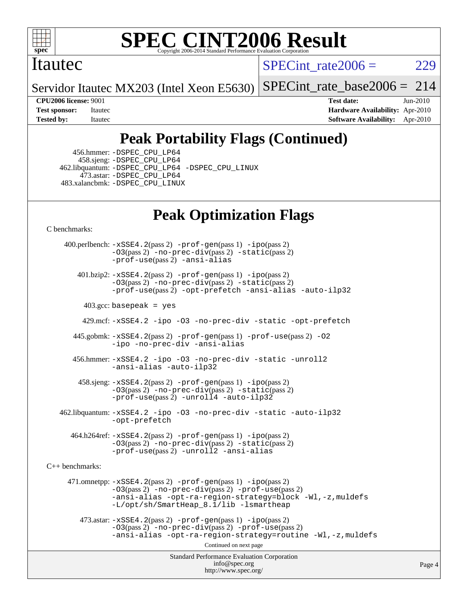

#### Itautec

SPECint rate $2006 = 229$ 

Servidor Itautec MX203 (Intel Xeon E5630) [SPECint\\_rate\\_base2006 =](http://www.spec.org/auto/cpu2006/Docs/result-fields.html#SPECintratebase2006) 214

**[CPU2006 license:](http://www.spec.org/auto/cpu2006/Docs/result-fields.html#CPU2006license)** 9001 **[Test date:](http://www.spec.org/auto/cpu2006/Docs/result-fields.html#Testdate)** Jun-2010 **[Test sponsor:](http://www.spec.org/auto/cpu2006/Docs/result-fields.html#Testsponsor)** Itautec **[Hardware Availability:](http://www.spec.org/auto/cpu2006/Docs/result-fields.html#HardwareAvailability)** Apr-2010 **[Tested by:](http://www.spec.org/auto/cpu2006/Docs/result-fields.html#Testedby)** Itautec **[Software Availability:](http://www.spec.org/auto/cpu2006/Docs/result-fields.html#SoftwareAvailability)** Apr-2010

# **[Peak Portability Flags \(Continued\)](http://www.spec.org/auto/cpu2006/Docs/result-fields.html#PeakPortabilityFlags)**

 456.hmmer: [-DSPEC\\_CPU\\_LP64](http://www.spec.org/cpu2006/results/res2010q3/cpu2006-20100629-12034.flags.html#suite_peakCPORTABILITY456_hmmer_DSPEC_CPU_LP64) 458.sjeng: [-DSPEC\\_CPU\\_LP64](http://www.spec.org/cpu2006/results/res2010q3/cpu2006-20100629-12034.flags.html#suite_peakCPORTABILITY458_sjeng_DSPEC_CPU_LP64) 462.libquantum: [-DSPEC\\_CPU\\_LP64](http://www.spec.org/cpu2006/results/res2010q3/cpu2006-20100629-12034.flags.html#suite_peakCPORTABILITY462_libquantum_DSPEC_CPU_LP64) [-DSPEC\\_CPU\\_LINUX](http://www.spec.org/cpu2006/results/res2010q3/cpu2006-20100629-12034.flags.html#b462.libquantum_peakCPORTABILITY_DSPEC_CPU_LINUX) 473.astar: [-DSPEC\\_CPU\\_LP64](http://www.spec.org/cpu2006/results/res2010q3/cpu2006-20100629-12034.flags.html#suite_peakCXXPORTABILITY473_astar_DSPEC_CPU_LP64) 483.xalancbmk: [-DSPEC\\_CPU\\_LINUX](http://www.spec.org/cpu2006/results/res2010q3/cpu2006-20100629-12034.flags.html#b483.xalancbmk_peakCXXPORTABILITY_DSPEC_CPU_LINUX)

# **[Peak Optimization Flags](http://www.spec.org/auto/cpu2006/Docs/result-fields.html#PeakOptimizationFlags)**

[C benchmarks](http://www.spec.org/auto/cpu2006/Docs/result-fields.html#Cbenchmarks):

Standard Performance Evaluation Corporation [info@spec.org](mailto:info@spec.org) <http://www.spec.org/> Page 4 400.perlbench: [-xSSE4.2](http://www.spec.org/cpu2006/results/res2010q3/cpu2006-20100629-12034.flags.html#user_peakPASS2_CFLAGSPASS2_LDCFLAGS400_perlbench_f-xSSE42_f91528193cf0b216347adb8b939d4107)(pass 2) [-prof-gen](http://www.spec.org/cpu2006/results/res2010q3/cpu2006-20100629-12034.flags.html#user_peakPASS1_CFLAGSPASS1_LDCFLAGS400_perlbench_prof_gen_e43856698f6ca7b7e442dfd80e94a8fc)(pass 1) [-ipo](http://www.spec.org/cpu2006/results/res2010q3/cpu2006-20100629-12034.flags.html#user_peakPASS2_CFLAGSPASS2_LDCFLAGS400_perlbench_f-ipo)(pass 2) [-O3](http://www.spec.org/cpu2006/results/res2010q3/cpu2006-20100629-12034.flags.html#user_peakPASS2_CFLAGSPASS2_LDCFLAGS400_perlbench_f-O3)(pass 2) [-no-prec-div](http://www.spec.org/cpu2006/results/res2010q3/cpu2006-20100629-12034.flags.html#user_peakPASS2_CFLAGSPASS2_LDCFLAGS400_perlbench_f-no-prec-div)(pass 2) [-static](http://www.spec.org/cpu2006/results/res2010q3/cpu2006-20100629-12034.flags.html#user_peakPASS2_CFLAGSPASS2_LDCFLAGS400_perlbench_f-static)(pass 2) [-prof-use](http://www.spec.org/cpu2006/results/res2010q3/cpu2006-20100629-12034.flags.html#user_peakPASS2_CFLAGSPASS2_LDCFLAGS400_perlbench_prof_use_bccf7792157ff70d64e32fe3e1250b55)(pass 2) [-ansi-alias](http://www.spec.org/cpu2006/results/res2010q3/cpu2006-20100629-12034.flags.html#user_peakCOPTIMIZE400_perlbench_f-ansi-alias) 401.bzip2: [-xSSE4.2](http://www.spec.org/cpu2006/results/res2010q3/cpu2006-20100629-12034.flags.html#user_peakPASS2_CFLAGSPASS2_LDCFLAGS401_bzip2_f-xSSE42_f91528193cf0b216347adb8b939d4107)(pass 2) [-prof-gen](http://www.spec.org/cpu2006/results/res2010q3/cpu2006-20100629-12034.flags.html#user_peakPASS1_CFLAGSPASS1_LDCFLAGS401_bzip2_prof_gen_e43856698f6ca7b7e442dfd80e94a8fc)(pass 1) [-ipo](http://www.spec.org/cpu2006/results/res2010q3/cpu2006-20100629-12034.flags.html#user_peakPASS2_CFLAGSPASS2_LDCFLAGS401_bzip2_f-ipo)(pass 2) [-O3](http://www.spec.org/cpu2006/results/res2010q3/cpu2006-20100629-12034.flags.html#user_peakPASS2_CFLAGSPASS2_LDCFLAGS401_bzip2_f-O3)(pass 2) [-no-prec-div](http://www.spec.org/cpu2006/results/res2010q3/cpu2006-20100629-12034.flags.html#user_peakPASS2_CFLAGSPASS2_LDCFLAGS401_bzip2_f-no-prec-div)(pass 2) [-static](http://www.spec.org/cpu2006/results/res2010q3/cpu2006-20100629-12034.flags.html#user_peakPASS2_CFLAGSPASS2_LDCFLAGS401_bzip2_f-static)(pass 2) [-prof-use](http://www.spec.org/cpu2006/results/res2010q3/cpu2006-20100629-12034.flags.html#user_peakPASS2_CFLAGSPASS2_LDCFLAGS401_bzip2_prof_use_bccf7792157ff70d64e32fe3e1250b55)(pass 2) [-opt-prefetch](http://www.spec.org/cpu2006/results/res2010q3/cpu2006-20100629-12034.flags.html#user_peakCOPTIMIZE401_bzip2_f-opt-prefetch) [-ansi-alias](http://www.spec.org/cpu2006/results/res2010q3/cpu2006-20100629-12034.flags.html#user_peakCOPTIMIZE401_bzip2_f-ansi-alias) [-auto-ilp32](http://www.spec.org/cpu2006/results/res2010q3/cpu2006-20100629-12034.flags.html#user_peakCOPTIMIZE401_bzip2_f-auto-ilp32)  $403.\text{gcc: basepeak}$  = yes 429.mcf: [-xSSE4.2](http://www.spec.org/cpu2006/results/res2010q3/cpu2006-20100629-12034.flags.html#user_peakCOPTIMIZE429_mcf_f-xSSE42_f91528193cf0b216347adb8b939d4107) [-ipo](http://www.spec.org/cpu2006/results/res2010q3/cpu2006-20100629-12034.flags.html#user_peakCOPTIMIZE429_mcf_f-ipo) [-O3](http://www.spec.org/cpu2006/results/res2010q3/cpu2006-20100629-12034.flags.html#user_peakCOPTIMIZE429_mcf_f-O3) [-no-prec-div](http://www.spec.org/cpu2006/results/res2010q3/cpu2006-20100629-12034.flags.html#user_peakCOPTIMIZE429_mcf_f-no-prec-div) [-static](http://www.spec.org/cpu2006/results/res2010q3/cpu2006-20100629-12034.flags.html#user_peakCOPTIMIZE429_mcf_f-static) [-opt-prefetch](http://www.spec.org/cpu2006/results/res2010q3/cpu2006-20100629-12034.flags.html#user_peakCOPTIMIZE429_mcf_f-opt-prefetch) 445.gobmk: [-xSSE4.2](http://www.spec.org/cpu2006/results/res2010q3/cpu2006-20100629-12034.flags.html#user_peakPASS2_CFLAGSPASS2_LDCFLAGS445_gobmk_f-xSSE42_f91528193cf0b216347adb8b939d4107)(pass 2) [-prof-gen](http://www.spec.org/cpu2006/results/res2010q3/cpu2006-20100629-12034.flags.html#user_peakPASS1_CFLAGSPASS1_LDCFLAGS445_gobmk_prof_gen_e43856698f6ca7b7e442dfd80e94a8fc)(pass 1) [-prof-use](http://www.spec.org/cpu2006/results/res2010q3/cpu2006-20100629-12034.flags.html#user_peakPASS2_CFLAGSPASS2_LDCFLAGS445_gobmk_prof_use_bccf7792157ff70d64e32fe3e1250b55)(pass 2) [-O2](http://www.spec.org/cpu2006/results/res2010q3/cpu2006-20100629-12034.flags.html#user_peakCOPTIMIZE445_gobmk_f-O2) [-ipo](http://www.spec.org/cpu2006/results/res2010q3/cpu2006-20100629-12034.flags.html#user_peakCOPTIMIZE445_gobmk_f-ipo) [-no-prec-div](http://www.spec.org/cpu2006/results/res2010q3/cpu2006-20100629-12034.flags.html#user_peakCOPTIMIZE445_gobmk_f-no-prec-div) [-ansi-alias](http://www.spec.org/cpu2006/results/res2010q3/cpu2006-20100629-12034.flags.html#user_peakCOPTIMIZE445_gobmk_f-ansi-alias) 456.hmmer: [-xSSE4.2](http://www.spec.org/cpu2006/results/res2010q3/cpu2006-20100629-12034.flags.html#user_peakCOPTIMIZE456_hmmer_f-xSSE42_f91528193cf0b216347adb8b939d4107) [-ipo](http://www.spec.org/cpu2006/results/res2010q3/cpu2006-20100629-12034.flags.html#user_peakCOPTIMIZE456_hmmer_f-ipo) [-O3](http://www.spec.org/cpu2006/results/res2010q3/cpu2006-20100629-12034.flags.html#user_peakCOPTIMIZE456_hmmer_f-O3) [-no-prec-div](http://www.spec.org/cpu2006/results/res2010q3/cpu2006-20100629-12034.flags.html#user_peakCOPTIMIZE456_hmmer_f-no-prec-div) [-static](http://www.spec.org/cpu2006/results/res2010q3/cpu2006-20100629-12034.flags.html#user_peakCOPTIMIZE456_hmmer_f-static) [-unroll2](http://www.spec.org/cpu2006/results/res2010q3/cpu2006-20100629-12034.flags.html#user_peakCOPTIMIZE456_hmmer_f-unroll_784dae83bebfb236979b41d2422d7ec2) [-ansi-alias](http://www.spec.org/cpu2006/results/res2010q3/cpu2006-20100629-12034.flags.html#user_peakCOPTIMIZE456_hmmer_f-ansi-alias) [-auto-ilp32](http://www.spec.org/cpu2006/results/res2010q3/cpu2006-20100629-12034.flags.html#user_peakCOPTIMIZE456_hmmer_f-auto-ilp32) 458.sjeng: [-xSSE4.2](http://www.spec.org/cpu2006/results/res2010q3/cpu2006-20100629-12034.flags.html#user_peakPASS2_CFLAGSPASS2_LDCFLAGS458_sjeng_f-xSSE42_f91528193cf0b216347adb8b939d4107)(pass 2) [-prof-gen](http://www.spec.org/cpu2006/results/res2010q3/cpu2006-20100629-12034.flags.html#user_peakPASS1_CFLAGSPASS1_LDCFLAGS458_sjeng_prof_gen_e43856698f6ca7b7e442dfd80e94a8fc)(pass 1) [-ipo](http://www.spec.org/cpu2006/results/res2010q3/cpu2006-20100629-12034.flags.html#user_peakPASS2_CFLAGSPASS2_LDCFLAGS458_sjeng_f-ipo)(pass 2) [-O3](http://www.spec.org/cpu2006/results/res2010q3/cpu2006-20100629-12034.flags.html#user_peakPASS2_CFLAGSPASS2_LDCFLAGS458_sjeng_f-O3)(pass 2) [-no-prec-div](http://www.spec.org/cpu2006/results/res2010q3/cpu2006-20100629-12034.flags.html#user_peakPASS2_CFLAGSPASS2_LDCFLAGS458_sjeng_f-no-prec-div)(pass 2) [-static](http://www.spec.org/cpu2006/results/res2010q3/cpu2006-20100629-12034.flags.html#user_peakPASS2_CFLAGSPASS2_LDCFLAGS458_sjeng_f-static)(pass 2) [-prof-use](http://www.spec.org/cpu2006/results/res2010q3/cpu2006-20100629-12034.flags.html#user_peakPASS2_CFLAGSPASS2_LDCFLAGS458_sjeng_prof_use_bccf7792157ff70d64e32fe3e1250b55)(pass 2) [-unroll4](http://www.spec.org/cpu2006/results/res2010q3/cpu2006-20100629-12034.flags.html#user_peakCOPTIMIZE458_sjeng_f-unroll_4e5e4ed65b7fd20bdcd365bec371b81f) [-auto-ilp32](http://www.spec.org/cpu2006/results/res2010q3/cpu2006-20100629-12034.flags.html#user_peakCOPTIMIZE458_sjeng_f-auto-ilp32) 462.libquantum: [-xSSE4.2](http://www.spec.org/cpu2006/results/res2010q3/cpu2006-20100629-12034.flags.html#user_peakCOPTIMIZE462_libquantum_f-xSSE42_f91528193cf0b216347adb8b939d4107) [-ipo](http://www.spec.org/cpu2006/results/res2010q3/cpu2006-20100629-12034.flags.html#user_peakCOPTIMIZE462_libquantum_f-ipo) [-O3](http://www.spec.org/cpu2006/results/res2010q3/cpu2006-20100629-12034.flags.html#user_peakCOPTIMIZE462_libquantum_f-O3) [-no-prec-div](http://www.spec.org/cpu2006/results/res2010q3/cpu2006-20100629-12034.flags.html#user_peakCOPTIMIZE462_libquantum_f-no-prec-div) [-static](http://www.spec.org/cpu2006/results/res2010q3/cpu2006-20100629-12034.flags.html#user_peakCOPTIMIZE462_libquantum_f-static) [-auto-ilp32](http://www.spec.org/cpu2006/results/res2010q3/cpu2006-20100629-12034.flags.html#user_peakCOPTIMIZE462_libquantum_f-auto-ilp32) [-opt-prefetch](http://www.spec.org/cpu2006/results/res2010q3/cpu2006-20100629-12034.flags.html#user_peakCOPTIMIZE462_libquantum_f-opt-prefetch) 464.h264ref: [-xSSE4.2](http://www.spec.org/cpu2006/results/res2010q3/cpu2006-20100629-12034.flags.html#user_peakPASS2_CFLAGSPASS2_LDCFLAGS464_h264ref_f-xSSE42_f91528193cf0b216347adb8b939d4107)(pass 2) [-prof-gen](http://www.spec.org/cpu2006/results/res2010q3/cpu2006-20100629-12034.flags.html#user_peakPASS1_CFLAGSPASS1_LDCFLAGS464_h264ref_prof_gen_e43856698f6ca7b7e442dfd80e94a8fc)(pass 1) [-ipo](http://www.spec.org/cpu2006/results/res2010q3/cpu2006-20100629-12034.flags.html#user_peakPASS2_CFLAGSPASS2_LDCFLAGS464_h264ref_f-ipo)(pass 2) [-O3](http://www.spec.org/cpu2006/results/res2010q3/cpu2006-20100629-12034.flags.html#user_peakPASS2_CFLAGSPASS2_LDCFLAGS464_h264ref_f-O3)(pass 2) [-no-prec-div](http://www.spec.org/cpu2006/results/res2010q3/cpu2006-20100629-12034.flags.html#user_peakPASS2_CFLAGSPASS2_LDCFLAGS464_h264ref_f-no-prec-div)(pass 2) [-static](http://www.spec.org/cpu2006/results/res2010q3/cpu2006-20100629-12034.flags.html#user_peakPASS2_CFLAGSPASS2_LDCFLAGS464_h264ref_f-static)(pass 2) [-prof-use](http://www.spec.org/cpu2006/results/res2010q3/cpu2006-20100629-12034.flags.html#user_peakPASS2_CFLAGSPASS2_LDCFLAGS464_h264ref_prof_use_bccf7792157ff70d64e32fe3e1250b55)(pass 2) [-unroll2](http://www.spec.org/cpu2006/results/res2010q3/cpu2006-20100629-12034.flags.html#user_peakCOPTIMIZE464_h264ref_f-unroll_784dae83bebfb236979b41d2422d7ec2) [-ansi-alias](http://www.spec.org/cpu2006/results/res2010q3/cpu2006-20100629-12034.flags.html#user_peakCOPTIMIZE464_h264ref_f-ansi-alias) [C++ benchmarks:](http://www.spec.org/auto/cpu2006/Docs/result-fields.html#CXXbenchmarks) 471.omnetpp: [-xSSE4.2](http://www.spec.org/cpu2006/results/res2010q3/cpu2006-20100629-12034.flags.html#user_peakPASS2_CXXFLAGSPASS2_LDCXXFLAGS471_omnetpp_f-xSSE42_f91528193cf0b216347adb8b939d4107)(pass 2) [-prof-gen](http://www.spec.org/cpu2006/results/res2010q3/cpu2006-20100629-12034.flags.html#user_peakPASS1_CXXFLAGSPASS1_LDCXXFLAGS471_omnetpp_prof_gen_e43856698f6ca7b7e442dfd80e94a8fc)(pass 1) [-ipo](http://www.spec.org/cpu2006/results/res2010q3/cpu2006-20100629-12034.flags.html#user_peakPASS2_CXXFLAGSPASS2_LDCXXFLAGS471_omnetpp_f-ipo)(pass 2) [-O3](http://www.spec.org/cpu2006/results/res2010q3/cpu2006-20100629-12034.flags.html#user_peakPASS2_CXXFLAGSPASS2_LDCXXFLAGS471_omnetpp_f-O3)(pass 2) [-no-prec-div](http://www.spec.org/cpu2006/results/res2010q3/cpu2006-20100629-12034.flags.html#user_peakPASS2_CXXFLAGSPASS2_LDCXXFLAGS471_omnetpp_f-no-prec-div)(pass 2) [-prof-use](http://www.spec.org/cpu2006/results/res2010q3/cpu2006-20100629-12034.flags.html#user_peakPASS2_CXXFLAGSPASS2_LDCXXFLAGS471_omnetpp_prof_use_bccf7792157ff70d64e32fe3e1250b55)(pass 2) [-ansi-alias](http://www.spec.org/cpu2006/results/res2010q3/cpu2006-20100629-12034.flags.html#user_peakCXXOPTIMIZE471_omnetpp_f-ansi-alias) [-opt-ra-region-strategy=block](http://www.spec.org/cpu2006/results/res2010q3/cpu2006-20100629-12034.flags.html#user_peakCXXOPTIMIZE471_omnetpp_f-opt-ra-region-strategy-block_a0a37c372d03933b2a18d4af463c1f69) [-Wl,-z,muldefs](http://www.spec.org/cpu2006/results/res2010q3/cpu2006-20100629-12034.flags.html#user_peakEXTRA_LDFLAGS471_omnetpp_link_force_multiple1_74079c344b956b9658436fd1b6dd3a8a) [-L/opt/sh/SmartHeap\\_8.1/lib -lsmartheap](http://www.spec.org/cpu2006/results/res2010q3/cpu2006-20100629-12034.flags.html#user_peakEXTRA_LIBS471_omnetpp_SmartHeap_27b21c95f540fefa7d7530e3b3d64269)  $473.\text{astar: } -xSSE4$ .  $2(\text{pass 2})$   $-\text{prof-gen}(\text{pass 1})$   $-i\text{po}(\text{pass 2})$ [-O3](http://www.spec.org/cpu2006/results/res2010q3/cpu2006-20100629-12034.flags.html#user_peakPASS2_CXXFLAGSPASS2_LDCXXFLAGS473_astar_f-O3)(pass 2) [-no-prec-div](http://www.spec.org/cpu2006/results/res2010q3/cpu2006-20100629-12034.flags.html#user_peakPASS2_CXXFLAGSPASS2_LDCXXFLAGS473_astar_f-no-prec-div)(pass 2) [-prof-use](http://www.spec.org/cpu2006/results/res2010q3/cpu2006-20100629-12034.flags.html#user_peakPASS2_CXXFLAGSPASS2_LDCXXFLAGS473_astar_prof_use_bccf7792157ff70d64e32fe3e1250b55)(pass 2) [-ansi-alias](http://www.spec.org/cpu2006/results/res2010q3/cpu2006-20100629-12034.flags.html#user_peakCXXOPTIMIZE473_astar_f-ansi-alias) [-opt-ra-region-strategy=routine](http://www.spec.org/cpu2006/results/res2010q3/cpu2006-20100629-12034.flags.html#user_peakCXXOPTIMIZE473_astar_f-opt-ra-region-strategy-routine_ba086ea3b1d46a52e1238e2ca173ed44) [-Wl,-z,muldefs](http://www.spec.org/cpu2006/results/res2010q3/cpu2006-20100629-12034.flags.html#user_peakEXTRA_LDFLAGS473_astar_link_force_multiple1_74079c344b956b9658436fd1b6dd3a8a) Continued on next page